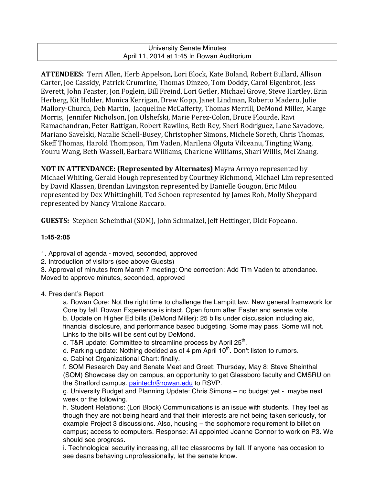## University Senate Minutes April 11, 2014 at 1:45 In Rowan Auditorium

ATTENDEES: Terri Allen, Herb Appelson, Lori Block, Kate Boland, Robert Bullard, Allison Carter, Joe Cassidy, Patrick Crumrine, Thomas Dinzeo, Tom Doddy, Carol Eigenbrot, Jess Everett, John Feaster, Jon Foglein, Bill Freind, Lori Getler, Michael Grove, Steve Hartley, Erin Herberg, Kit Holder, Monica Kerrigan, Drew Kopp, Janet Lindman, Roberto Madero, Julie Mallory-Church, Deb Martin, Jacqueline McCafferty, Thomas Merrill, DeMond Miller, Marge Morris, Jennifer Nicholson, Jon Olshefski, Marie Perez-Colon, Bruce Plourde, Ravi Ramachandran, Peter Rattigan, Robert Rawlins, Beth Rey, Sheri Rodriguez, Lane Savadove, Mariano Savelski, Natalie Schell-Busey, Christopher Simons, Michele Soreth, Chris Thomas, Skeff Thomas, Harold Thompson, Tim Vaden, Marilena Olguta Vilceanu, Tingting Wang, Youru Wang, Beth Wassell, Barbara Williams, Charlene Williams, Shari Willis, Mei Zhang.

**NOT IN ATTENDANCE: (Represented by Alternates)** Mayra Arroyo represented by Michael Whiting, Gerald Hough represented by Courtney Richmond, Michael Lim represented by David Klassen, Brendan Livingston represented by Danielle Gougon, Eric Milou represented by Dex Whittinghill, Ted Schoen represented by James Roh, Molly Sheppard represented by Nancy Vitalone Raccaro.

**GUESTS:** Stephen Scheinthal (SOM), John Schmalzel, Jeff Hettinger, Dick Fopeano.

# **1:45-2:05**

- 1. Approval of agenda moved, seconded, approved
- 2. Introduction of visitors (see above Guests)

3. Approval of minutes from March 7 meeting: One correction: Add Tim Vaden to attendance. Moved to approve minutes, seconded, approved

# 4. President's Report

a. Rowan Core: Not the right time to challenge the Lampitt law. New general framework for Core by fall. Rowan Experience is intact. Open forum after Easter and senate vote. b. Update on Higher Ed bills (DeMond Miller): 25 bills under discussion including aid, financial disclosure, and performance based budgeting. Some may pass. Some will not. Links to the bills will be sent out by DeMond.

c. T&R update: Committee to streamline process by April  $25<sup>th</sup>$ .

- d. Parking update: Nothing decided as of 4 pm April  $10<sup>th</sup>$ . Don't listen to rumors.
- e. Cabinet Organizational Chart: finally.

f. SOM Research Day and Senate Meet and Greet: Thursday, May 8: Steve Sheinthal (SOM) Showcase day on campus, an opportunity to get Glassboro faculty and CMSRU on the Stratford campus. paintech@rowan.edu to RSVP.

g. University Budget and Planning Update: Chris Simons – no budget yet - maybe next week or the following.

h. Student Relations: (Lori Block) Communications is an issue with students. They feel as though they are not being heard and that their interests are not being taken seriously, for example Project 3 discussions. Also, housing – the sophomore requirement to billet on campus; access to computers. Response: Ali appointed Joanne Connor to work on P3. We should see progress.

i. Technological security increasing, all tec classrooms by fall. If anyone has occasion to see deans behaving unprofessionally, let the senate know.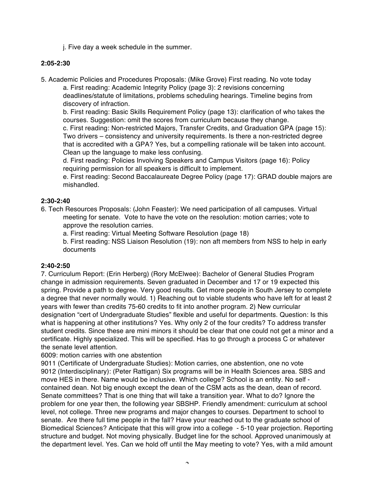j. Five day a week schedule in the summer.

#### **2:05-2:30**

5. Academic Policies and Procedures Proposals: (Mike Grove) First reading. No vote today

a. First reading: Academic Integrity Policy (page 3): 2 revisions concerning deadlines/statute of limitations, problems scheduling hearings. Timeline begins from discovery of infraction.

b. First reading: Basic Skills Requirement Policy (page 13): clarification of who takes the courses. Suggestion: omit the scores from curriculum because they change.

c. First reading: Non-restricted Majors, Transfer Credits, and Graduation GPA (page 15): Two drivers – consistency and university requirements. Is there a non-restricted degree that is accredited with a GPA? Yes, but a compelling rationale will be taken into account. Clean up the language to make less confusing.

d. First reading: Policies Involving Speakers and Campus Visitors (page 16): Policy requiring permission for all speakers is difficult to implement.

e. First reading: Second Baccalaureate Degree Policy (page 17): GRAD double majors are mishandled.

## **2:30-2:40**

- 6. Tech Resources Proposals: (John Feaster): We need participation of all campuses. Virtual meeting for senate. Vote to have the vote on the resolution: motion carries; vote to approve the resolution carries.
	- a. First reading: Virtual Meeting Software Resolution (page 18)

b. First reading: NSS Liaison Resolution (19): non aft members from NSS to help in early documents

#### **2:40-2:50**

7. Curriculum Report: (Erin Herberg) (Rory McElwee): Bachelor of General Studies Program change in admission requirements. Seven graduated in December and 17 or 19 expected this spring. Provide a path to degree. Very good results. Get more people in South Jersey to complete a degree that never normally would. 1) Reaching out to viable students who have left for at least 2 years with fewer than credits 75-60 credits to fit into another program. 2) New curricular designation "cert of Undergraduate Studies" flexible and useful for departments. Question: Is this what is happening at other institutions? Yes. Why only 2 of the four credits? To address transfer student credits. Since these are mini minors it should be clear that one could not get a minor and a certificate. Highly specialized. This will be specified. Has to go through a process C or whatever the senate level attention.

6009: motion carries with one abstention

9011 (Certificate of Undergraduate Studies): Motion carries, one abstention, one no vote 9012 (Interdisciplinary): (Peter Rattigan) Six programs will be in Health Sciences area. SBS and move HES in there. Name would be inclusive. Which college? School is an entity. No self contained dean. Not big enough except the dean of the CSM acts as the dean, dean of record. Senate committees? That is one thing that will take a transition year. What to do? Ignore the problem for one year then, the following year SBSHP. Friendly amendment: curriculum at school level, not college. Three new programs and major changes to courses. Department to school to senate. Are there full time people in the fall? Have your reached out to the graduate school of Biomedical Sciences? Anticipate that this will grow into a college - 5-10 year projection. Reporting structure and budget. Not moving physically. Budget line for the school. Approved unanimously at the department level. Yes. Can we hold off until the May meeting to vote? Yes, with a mild amount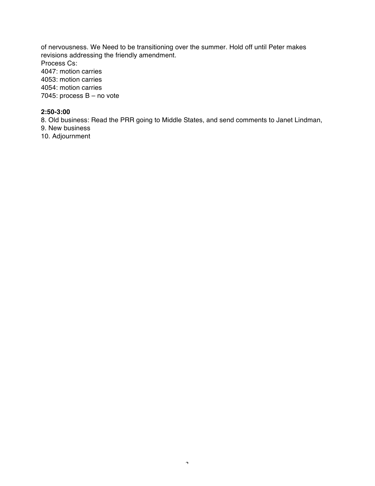of nervousness. We Need to be transitioning over the summer. Hold off until Peter makes revisions addressing the friendly amendment. Process Cs: 4047: motion carries 4053: motion carries 4054: motion carries 7045: process B – no vote

## **2:50-3:00**

8. Old business: Read the PRR going to Middle States, and send comments to Janet Lindman,

9. New business

10. Adjournment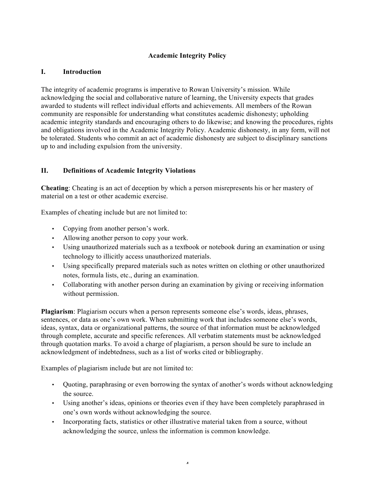# **Academic Integrity Policy**

## **I. Introduction**

The integrity of academic programs is imperative to Rowan University's mission. While acknowledging the social and collaborative nature of learning, the University expects that grades awarded to students will reflect individual efforts and achievements. All members of the Rowan community are responsible for understanding what constitutes academic dishonesty; upholding academic integrity standards and encouraging others to do likewise; and knowing the procedures, rights and obligations involved in the Academic Integrity Policy. Academic dishonesty, in any form, will not be tolerated. Students who commit an act of academic dishonesty are subject to disciplinary sanctions up to and including expulsion from the university.

## **II. Definitions of Academic Integrity Violations**

**Cheating**: Cheating is an act of deception by which a person misrepresents his or her mastery of material on a test or other academic exercise.

Examples of cheating include but are not limited to:

- Copying from another person's work.
- Allowing another person to copy your work.
- Using unauthorized materials such as a textbook or notebook during an examination or using technology to illicitly access unauthorized materials.
- Using specifically prepared materials such as notes written on clothing or other unauthorized notes, formula lists, etc., during an examination.
- Collaborating with another person during an examination by giving or receiving information without permission.

**Plagiarism**: Plagiarism occurs when a person represents someone else's words, ideas, phrases, sentences, or data as one's own work. When submitting work that includes someone else's words, ideas, syntax, data or organizational patterns, the source of that information must be acknowledged through complete, accurate and specific references. All verbatim statements must be acknowledged through quotation marks. To avoid a charge of plagiarism, a person should be sure to include an acknowledgment of indebtedness, such as a list of works cited or bibliography.

Examples of plagiarism include but are not limited to:

- Quoting, paraphrasing or even borrowing the syntax of another's words without acknowledging the source.
- Using another's ideas, opinions or theories even if they have been completely paraphrased in one's own words without acknowledging the source.

4

• Incorporating facts, statistics or other illustrative material taken from a source, without acknowledging the source, unless the information is common knowledge.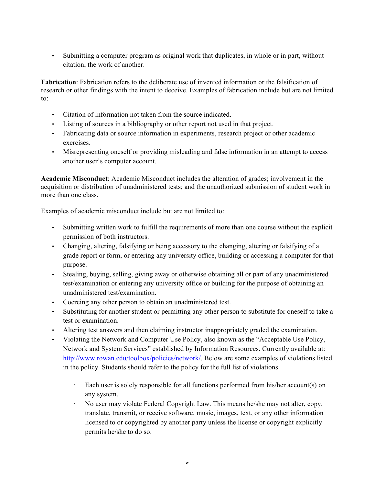• Submitting a computer program as original work that duplicates, in whole or in part, without citation, the work of another.

**Fabrication**: Fabrication refers to the deliberate use of invented information or the falsification of research or other findings with the intent to deceive. Examples of fabrication include but are not limited to:

- Citation of information not taken from the source indicated.
- Listing of sources in a bibliography or other report not used in that project.
- Fabricating data or source information in experiments, research project or other academic exercises.
- Misrepresenting oneself or providing misleading and false information in an attempt to access another user's computer account.

**Academic Misconduct**: Academic Misconduct includes the alteration of grades; involvement in the acquisition or distribution of unadministered tests; and the unauthorized submission of student work in more than one class.

Examples of academic misconduct include but are not limited to:

- Submitting written work to fulfill the requirements of more than one course without the explicit permission of both instructors.
- Changing, altering, falsifying or being accessory to the changing, altering or falsifying of a grade report or form, or entering any university office, building or accessing a computer for that purpose.
- Stealing, buying, selling, giving away or otherwise obtaining all or part of any unadministered test/examination or entering any university office or building for the purpose of obtaining an unadministered test/examination.
- Coercing any other person to obtain an unadministered test.
- Substituting for another student or permitting any other person to substitute for oneself to take a test or examination.
- Altering test answers and then claiming instructor inappropriately graded the examination.
- Violating the Network and Computer Use Policy, also known as the "Acceptable Use Policy, Network and System Services" established by Information Resources. Currently available at: http://www.rowan.edu/toolbox/policies/network/. Below are some examples of violations listed in the policy. Students should refer to the policy for the full list of violations.
	- Each user is solely responsible for all functions performed from his/her account(s) on any system.
	- · No user may violate Federal Copyright Law. This means he/she may not alter, copy, translate, transmit, or receive software, music, images, text, or any other information licensed to or copyrighted by another party unless the license or copyright explicitly permits he/she to do so.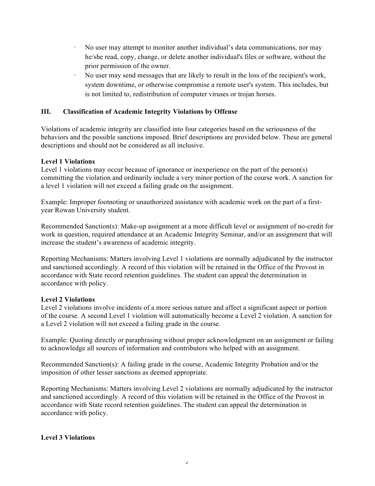- · No user may attempt to monitor another individual's data communications, nor may he/she read, copy, change, or delete another individual's files or software, without the prior permission of the owner.
- · No user may send messages that are likely to result in the loss of the recipient's work, system downtime, or otherwise compromise a remote user's system. This includes, but is not limited to, redistribution of computer viruses or trojan horses.

## **III. Classification of Academic Integrity Violations by Offense**

Violations of academic integrity are classified into four categories based on the seriousness of the behaviors and the possible sanctions imposed. Brief descriptions are provided below. These are general descriptions and should not be considered as all inclusive.

## **Level 1 Violations**

Level 1 violations may occur because of ignorance or inexperience on the part of the person(s) committing the violation and ordinarily include a very minor portion of the course work. A sanction for a level 1 violation will not exceed a failing grade on the assignment.

Example: Improper footnoting or unauthorized assistance with academic work on the part of a firstyear Rowan University student.

Recommended Sanction(s): Make-up assignment at a more difficult level or assignment of no-credit for work in question, required attendance at an Academic Integrity Seminar, and/or an assignment that will increase the student's awareness of academic integrity.

Reporting Mechanisms: Matters involving Level 1 violations are normally adjudicated by the instructor and sanctioned accordingly. A record of this violation will be retained in the Office of the Provost in accordance with State record retention guidelines. The student can appeal the determination in accordance with policy.

## **Level 2 Violations**

Level 2 violations involve incidents of a more serious nature and affect a significant aspect or portion of the course. A second Level 1 violation will automatically become a Level 2 violation. A sanction for a Level 2 violation will not exceed a failing grade in the course.

Example: Quoting directly or paraphrasing without proper acknowledgment on an assignment or failing to acknowledge all sources of information and contributors who helped with an assignment.

Recommended Sanction(s): A failing grade in the course, Academic Integrity Probation and/or the imposition of other lesser sanctions as deemed appropriate.

Reporting Mechanisms: Matters involving Level 2 violations are normally adjudicated by the instructor and sanctioned accordingly. A record of this violation will be retained in the Office of the Provost in accordance with State record retention guidelines. The student can appeal the determination in accordance with policy.

## **Level 3 Violations**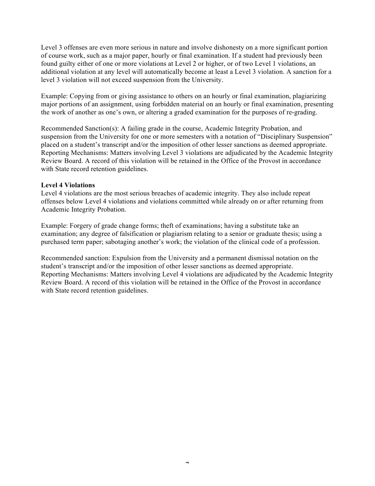Level 3 offenses are even more serious in nature and involve dishonesty on a more significant portion of course work, such as a major paper, hourly or final examination. If a student had previously been found guilty either of one or more violations at Level 2 or higher, or of two Level 1 violations, an additional violation at any level will automatically become at least a Level 3 violation. A sanction for a level 3 violation will not exceed suspension from the University.

Example: Copying from or giving assistance to others on an hourly or final examination, plagiarizing major portions of an assignment, using forbidden material on an hourly or final examination, presenting the work of another as one's own, or altering a graded examination for the purposes of re-grading.

Recommended Sanction(s): A failing grade in the course, Academic Integrity Probation, and suspension from the University for one or more semesters with a notation of "Disciplinary Suspension" placed on a student's transcript and/or the imposition of other lesser sanctions as deemed appropriate. Reporting Mechanisms: Matters involving Level 3 violations are adjudicated by the Academic Integrity Review Board. A record of this violation will be retained in the Office of the Provost in accordance with State record retention guidelines.

#### **Level 4 Violations**

Level 4 violations are the most serious breaches of academic integrity. They also include repeat offenses below Level 4 violations and violations committed while already on or after returning from Academic Integrity Probation.

Example: Forgery of grade change forms; theft of examinations; having a substitute take an examination; any degree of falsification or plagiarism relating to a senior or graduate thesis; using a purchased term paper; sabotaging another's work; the violation of the clinical code of a profession.

Recommended sanction: Expulsion from the University and a permanent dismissal notation on the student's transcript and/or the imposition of other lesser sanctions as deemed appropriate. Reporting Mechanisms: Matters involving Level 4 violations are adjudicated by the Academic Integrity Review Board. A record of this violation will be retained in the Office of the Provost in accordance with State record retention guidelines.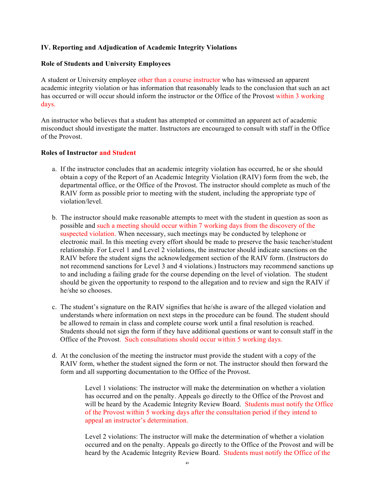## **IV. Reporting and Adjudication of Academic Integrity Violations**

#### **Role of Students and University Employees**

A student or University employee other than a course instructor who has witnessed an apparent academic integrity violation or has information that reasonably leads to the conclusion that such an act has occurred or will occur should inform the instructor or the Office of the Provost within 3 working days.

An instructor who believes that a student has attempted or committed an apparent act of academic misconduct should investigate the matter. Instructors are encouraged to consult with staff in the Office of the Provost.

#### **Roles of Instructor and Student**

- a. If the instructor concludes that an academic integrity violation has occurred, he or she should obtain a copy of the Report of an Academic Integrity Violation (RAIV) form from the web, the departmental office, or the Office of the Provost. The instructor should complete as much of the RAIV form as possible prior to meeting with the student, including the appropriate type of violation/level.
- b. The instructor should make reasonable attempts to meet with the student in question as soon as possible and such a meeting should occur within 7 working days from the discovery of the suspected violation. When necessary, such meetings may be conducted by telephone or electronic mail. In this meeting every effort should be made to preserve the basic teacher/student relationship. For Level 1 and Level 2 violations, the instructor should indicate sanctions on the RAIV before the student signs the acknowledgement section of the RAIV form. (Instructors do not recommend sanctions for Level 3 and 4 violations.) Instructors may recommend sanctions up to and including a failing grade for the course depending on the level of violation. The student should be given the opportunity to respond to the allegation and to review and sign the RAIV if he/she so chooses.
- c. The student's signature on the RAIV signifies that he/she is aware of the alleged violation and understands where information on next steps in the procedure can be found. The student should be allowed to remain in class and complete course work until a final resolution is reached. Students should not sign the form if they have additional questions or want to consult staff in the Office of the Provost. Such consultations should occur within 5 working days.
- d. At the conclusion of the meeting the instructor must provide the student with a copy of the RAIV form, whether the student signed the form or not. The instructor should then forward the form and all supporting documentation to the Office of the Provost.

Level 1 violations: The instructor will make the determination on whether a violation has occurred and on the penalty. Appeals go directly to the Office of the Provost and will be heard by the Academic Integrity Review Board. Students must notify the Office of the Provost within 5 working days after the consultation period if they intend to appeal an instructor's determination.

Level 2 violations: The instructor will make the determination of whether a violation occurred and on the penalty. Appeals go directly to the Office of the Provost and will be heard by the Academic Integrity Review Board. Students must notify the Office of the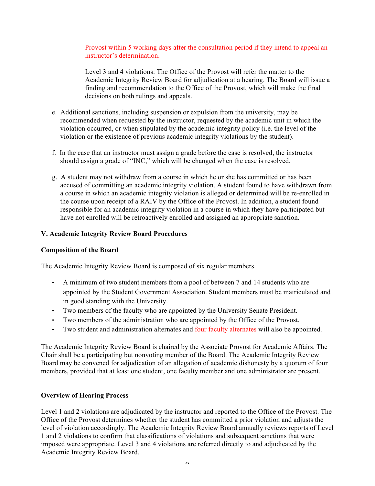Provost within 5 working days after the consultation period if they intend to appeal an instructor's determination.

Level 3 and 4 violations: The Office of the Provost will refer the matter to the Academic Integrity Review Board for adjudication at a hearing. The Board will issue a finding and recommendation to the Office of the Provost, which will make the final decisions on both rulings and appeals.

- e. Additional sanctions, including suspension or expulsion from the university, may be recommended when requested by the instructor, requested by the academic unit in which the violation occurred, or when stipulated by the academic integrity policy (i.e. the level of the violation or the existence of previous academic integrity violations by the student).
- f. In the case that an instructor must assign a grade before the case is resolved, the instructor should assign a grade of "INC," which will be changed when the case is resolved.
- g. A student may not withdraw from a course in which he or she has committed or has been accused of committing an academic integrity violation. A student found to have withdrawn from a course in which an academic integrity violation is alleged or determined will be re-enrolled in the course upon receipt of a RAIV by the Office of the Provost. In addition, a student found responsible for an academic integrity violation in a course in which they have participated but have not enrolled will be retroactively enrolled and assigned an appropriate sanction.

## **V. Academic Integrity Review Board Procedures**

#### **Composition of the Board**

The Academic Integrity Review Board is composed of six regular members.

- A minimum of two student members from a pool of between 7 and 14 students who are appointed by the Student Government Association. Student members must be matriculated and in good standing with the University.
- Two members of the faculty who are appointed by the University Senate President.
- Two members of the administration who are appointed by the Office of the Provost.
- Two student and administration alternates and four faculty alternates will also be appointed.

The Academic Integrity Review Board is chaired by the Associate Provost for Academic Affairs. The Chair shall be a participating but nonvoting member of the Board. The Academic Integrity Review Board may be convened for adjudication of an allegation of academic dishonesty by a quorum of four members, provided that at least one student, one faculty member and one administrator are present.

## **Overview of Hearing Process**

Level 1 and 2 violations are adjudicated by the instructor and reported to the Office of the Provost. The Office of the Provost determines whether the student has committed a prior violation and adjusts the level of violation accordingly. The Academic Integrity Review Board annually reviews reports of Level 1 and 2 violations to confirm that classifications of violations and subsequent sanctions that were imposed were appropriate. Level 3 and 4 violations are referred directly to and adjudicated by the Academic Integrity Review Board.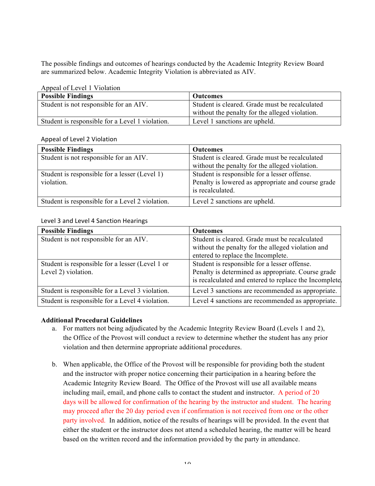The possible findings and outcomes of hearings conducted by the Academic Integrity Review Board are summarized below. Academic Integrity Violation is abbreviated as AIV.

Appeal of Level 1 Violation

| <b>Possible Findings</b>                        | <b>Outcomes</b>                                |  |  |
|-------------------------------------------------|------------------------------------------------|--|--|
| Student is not responsible for an AIV.          | Student is cleared. Grade must be recalculated |  |  |
|                                                 | without the penalty for the alleged violation. |  |  |
| Student is responsible for a Level 1 violation. | Level 1 sanctions are upheld.                  |  |  |

#### Appeal of Level 2 Violation

| <b>Possible Findings</b>                                    | <b>Outcomes</b>                                                                                                        |  |
|-------------------------------------------------------------|------------------------------------------------------------------------------------------------------------------------|--|
| Student is not responsible for an AIV.                      | Student is cleared. Grade must be recalculated                                                                         |  |
|                                                             | without the penalty for the alleged violation.                                                                         |  |
| Student is responsible for a lesser (Level 1)<br>violation. | Student is responsible for a lesser offense.<br>Penalty is lowered as appropriate and course grade<br>is recalculated. |  |
|                                                             |                                                                                                                        |  |
| Student is responsible for a Level 2 violation.             | Level 2 sanctions are upheld.                                                                                          |  |

#### Level 3 and Level 4 Sanction Hearings

| <b>Possible Findings</b>                        | <b>Outcomes</b>                                       |  |
|-------------------------------------------------|-------------------------------------------------------|--|
| Student is not responsible for an AIV.          | Student is cleared. Grade must be recalculated        |  |
|                                                 | without the penalty for the alleged violation and     |  |
|                                                 | entered to replace the Incomplete.                    |  |
| Student is responsible for a lesser (Level 1 or | Student is responsible for a lesser offense.          |  |
| Level 2) violation.                             | Penalty is determined as appropriate. Course grade    |  |
|                                                 | is recalculated and entered to replace the Incomplete |  |
| Student is responsible for a Level 3 violation. | Level 3 sanctions are recommended as appropriate.     |  |
| Student is responsible for a Level 4 violation. | Level 4 sanctions are recommended as appropriate.     |  |

## **Additional Procedural Guidelines**

- a. For matters not being adjudicated by the Academic Integrity Review Board (Levels 1 and 2), the Office of the Provost will conduct a review to determine whether the student has any prior violation and then determine appropriate additional procedures.
- b. When applicable, the Office of the Provost will be responsible for providing both the student and the instructor with proper notice concerning their participation in a hearing before the Academic Integrity Review Board. The Office of the Provost will use all available means including mail, email, and phone calls to contact the student and instructor. A period of 20 days will be allowed for confirmation of the hearing by the instructor and student. The hearing may proceed after the 20 day period even if confirmation is not received from one or the other party involved. In addition, notice of the results of hearings will be provided. In the event that either the student or the instructor does not attend a scheduled hearing, the matter will be heard based on the written record and the information provided by the party in attendance.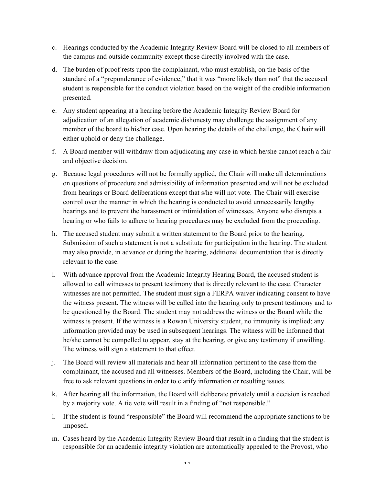- c. Hearings conducted by the Academic Integrity Review Board will be closed to all members of the campus and outside community except those directly involved with the case.
- d. The burden of proof rests upon the complainant, who must establish, on the basis of the standard of a "preponderance of evidence," that it was "more likely than not" that the accused student is responsible for the conduct violation based on the weight of the credible information presented.
- e. Any student appearing at a hearing before the Academic Integrity Review Board for adjudication of an allegation of academic dishonesty may challenge the assignment of any member of the board to his/her case. Upon hearing the details of the challenge, the Chair will either uphold or deny the challenge.
- f. A Board member will withdraw from adjudicating any case in which he/she cannot reach a fair and objective decision.
- g. Because legal procedures will not be formally applied, the Chair will make all determinations on questions of procedure and admissibility of information presented and will not be excluded from hearings or Board deliberations except that s/he will not vote. The Chair will exercise control over the manner in which the hearing is conducted to avoid unnecessarily lengthy hearings and to prevent the harassment or intimidation of witnesses. Anyone who disrupts a hearing or who fails to adhere to hearing procedures may be excluded from the proceeding.
- h. The accused student may submit a written statement to the Board prior to the hearing. Submission of such a statement is not a substitute for participation in the hearing. The student may also provide, in advance or during the hearing, additional documentation that is directly relevant to the case.
- i. With advance approval from the Academic Integrity Hearing Board, the accused student is allowed to call witnesses to present testimony that is directly relevant to the case. Character witnesses are not permitted. The student must sign a FERPA waiver indicating consent to have the witness present. The witness will be called into the hearing only to present testimony and to be questioned by the Board. The student may not address the witness or the Board while the witness is present. If the witness is a Rowan University student, no immunity is implied; any information provided may be used in subsequent hearings. The witness will be informed that he/she cannot be compelled to appear, stay at the hearing, or give any testimony if unwilling. The witness will sign a statement to that effect.
- j. The Board will review all materials and hear all information pertinent to the case from the complainant, the accused and all witnesses. Members of the Board, including the Chair, will be free to ask relevant questions in order to clarify information or resulting issues.
- k. After hearing all the information, the Board will deliberate privately until a decision is reached by a majority vote. A tie vote will result in a finding of "not responsible."
- l. If the student is found "responsible" the Board will recommend the appropriate sanctions to be imposed.
- m. Cases heard by the Academic Integrity Review Board that result in a finding that the student is responsible for an academic integrity violation are automatically appealed to the Provost, who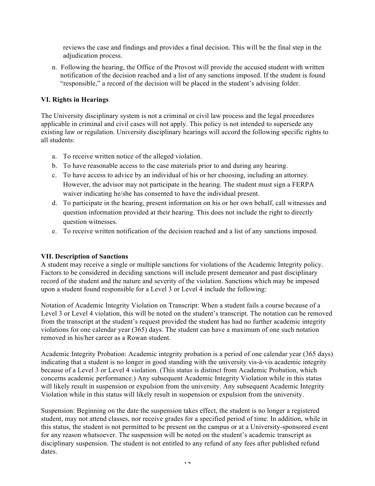reviews the case and findings and provides a final decision. This will be the final step in the adjudication process.

n. Following the hearing, the Office of the Provost will provide the accused student with written notification of the decision reached and a list of any sanctions imposed. If the student is found "responsible," a record of the decision will be placed in the student's advising folder.

## **VI. Rights in Hearings**

The University disciplinary system is not a criminal or civil law process and the legal procedures applicable in criminal and civil cases will not apply. This policy is not intended to supersede any existing law or regulation. University disciplinary hearings will accord the following specific rights to all students:

- a. To receive written notice of the alleged violation.
- b. To have reasonable access to the case materials prior to and during any hearing.
- c. To have access to advice by an individual of his or her choosing, including an attorney. However, the advisor may not participate in the hearing. The student must sign a FERPA waiver indicating he/she has consented to have the individual present.
- d. To participate in the hearing, present information on his or her own behalf, call witnesses and question information provided at their hearing. This does not include the right to directly question witnesses.
- e. To receive written notification of the decision reached and a list of any sanctions imposed.

## **VII. Description of Sanctions**

A student may receive a single or multiple sanctions for violations of the Academic Integrity policy. Factors to be considered in deciding sanctions will include present demeanor and past disciplinary record of the student and the nature and severity of the violation. Sanctions which may be imposed upon a student found responsible for a Level 3 or Level 4 include the following:

Notation of Academic Integrity Violation on Transcript: When a student fails a course because of a Level 3 or Level 4 violation, this will be noted on the student's transcript. The notation can be removed from the transcript at the student's request provided the student has had no further academic integrity violations for one calendar year (365) days. The student can have a maximum of one such notation removed in his/her career as a Rowan student.

Academic Integrity Probation: Academic integrity probation is a period of one calendar year (365 days) indicating that a student is no longer in good standing with the university vis-à-vis academic integrity because of a Level 3 or Level 4 violation. (This status is distinct from Academic Probation, which concerns academic performance.) Any subsequent Academic Integrity Violation while in this status will likely result in suspension or expulsion from the university. Any subsequent Academic Integrity Violation while in this status will likely result in suspension or expulsion from the university.

Suspension: Beginning on the date the suspension takes effect, the student is no longer a registered student, may not attend classes, nor receive grades for a specified period of time. In addition, while in this status, the student is not permitted to be present on the campus or at a University-sponsored event for any reason whatsoever. The suspension will be noted on the student's academic transcript as disciplinary suspension. The student is not entitled to any refund of any fees after published refund dates.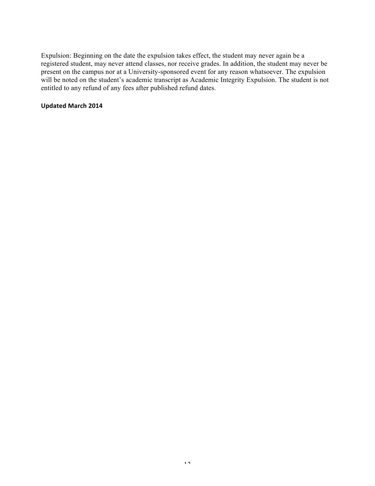Expulsion: Beginning on the date the expulsion takes effect, the student may never again be a registered student, may never attend classes, nor receive grades. In addition, the student may never be present on the campus nor at a University-sponsored event for any reason whatsoever. The expulsion will be noted on the student's academic transcript as Academic Integrity Expulsion. The student is not entitled to any refund of any fees after published refund dates.

#### **Updated March 2014**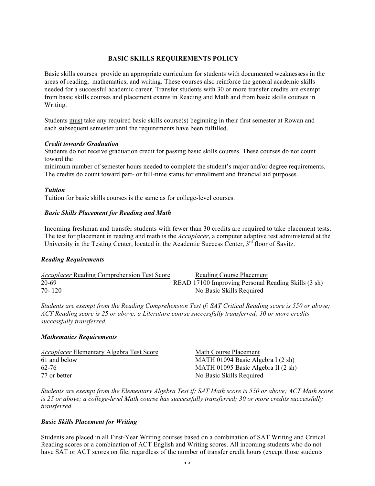#### **BASIC SKILLS REQUIREMENTS POLICY**

Basic skills courses provide an appropriate curriculum for students with documented weaknessess in the areas of reading, mathematics, and writing. These courses also reinforce the general academic skills needed for a successful academic career. Transfer students with 30 or more transfer credits are exempt from basic skills courses and placement exams in Reading and Math and from basic skills courses in Writing.

Students must take any required basic skills course(s) beginning in their first semester at Rowan and each subsequent semester until the requirements have been fulfilled.

#### *Credit towards Graduation*

Students do not receive graduation credit for passing basic skills courses. These courses do not count toward the

minimum number of semester hours needed to complete the student's major and/or degree requirements. The credits do count toward part- or full-time status for enrollment and financial aid purposes.

#### *Tuition*

Tuition for basic skills courses is the same as for college-level courses.

#### *Basic Skills Placement for Reading and Math*

Incoming freshman and transfer students with fewer than 30 credits are required to take placement tests. The test for placement in reading and math is the *Accuplacer*, a computer adaptive test administered at the University in the Testing Center, located in the Academic Success Center,  $3<sup>rd</sup>$  floor of Savitz.

#### *Reading Requirements*

| <i>Accuplacer</i> Reading Comprehension Test Score | Reading Course Placement                            |
|----------------------------------------------------|-----------------------------------------------------|
| 20-69                                              | READ 17100 Improving Personal Reading Skills (3 sh) |
| 70-120                                             | No Basic Skills Required                            |

*Students are exempt from the Reading Comprehension Test if: SAT Critical Reading score is 550 or above; ACT Reading score is 25 or above; a Literature course successfully transferred; 30 or more credits successfully transferred.*

#### *Mathematics Requirements*

| <i>Accuplacer</i> Elementary Algebra Test Score | Math Course Placement              |
|-------------------------------------------------|------------------------------------|
| 61 and below                                    | MATH 01094 Basic Algebra I (2 sh)  |
| 62-76                                           | MATH 01095 Basic Algebra II (2 sh) |
| 77 or better                                    | No Basic Skills Required           |

*Students are exempt from the Elementary Algebra Test if: SAT Math score is 550 or above; ACT Math score is 25 or above; a college-level Math course has successfully transferred; 30 or more credits successfully transferred.*

#### *Basic Skills Placement for Writing*

Students are placed in all First-Year Writing courses based on a combination of SAT Writing and Critical Reading scores or a combination of ACT English and Writing scores. All incoming students who do not have SAT or ACT scores on file, regardless of the number of transfer credit hours (except those students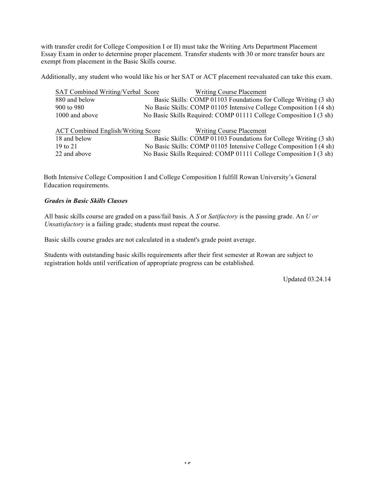with transfer credit for College Composition I or II) must take the Writing Arts Department Placement Essay Exam in order to determine proper placement. Transfer students with 30 or more transfer hours are exempt from placement in the Basic Skills course.

Additionally, any student who would like his or her SAT or ACT placement reevaluated can take this exam.

| SAT Combined Writing/Verbal Score         | <b>Writing Course Placement</b>                                    |
|-------------------------------------------|--------------------------------------------------------------------|
| 880 and below                             | Basic Skills: COMP 01103 Foundations for College Writing (3 sh)    |
| 900 to 980                                | No Basic Skills: COMP 01105 Intensive College Composition I (4 sh) |
| 1000 and above                            | No Basic Skills Required: COMP 01111 College Composition I (3 sh)  |
| <b>ACT Combined English/Writing Score</b> | <b>Writing Course Placement</b>                                    |
| 18 and below                              | Basic Skills: COMP 01103 Foundations for College Writing (3 sh)    |
| 19 to $21$                                | No Basic Skills: COMP 01105 Intensive College Composition I (4 sh) |
| 22 and above                              | No Basic Skills Required: COMP 01111 College Composition I (3 sh)  |

Both Intensive College Composition I and College Composition I fulfill Rowan University's General Education requirements.

#### *Grades in Basic Skills Classes*

All basic skills course are graded on a pass/fail basis. A *S* or *Satifactory* is the passing grade. An *U or Unsatisfactory* is a failing grade; students must repeat the course.

Basic skills course grades are not calculated in a student's grade point average.

Students with outstanding basic skills requirements after their first semester at Rowan are subject to registration holds until verification of appropriate progress can be established.

Updated 03.24.14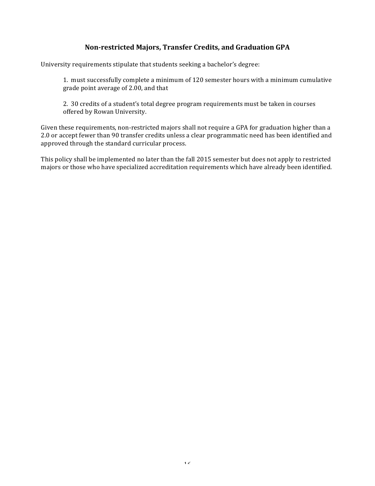# **Non-restricted Majors, Transfer Credits, and Graduation GPA**

University requirements stipulate that students seeking a bachelor's degree:

1. must successfully complete a minimum of 120 semester hours with a minimum cumulative grade point average of 2.00, and that

2. 30 credits of a student's total degree program requirements must be taken in courses offered by Rowan University.

Given these requirements, non-restricted majors shall not require a GPA for graduation higher than a 2.0 or accept fewer than 90 transfer credits unless a clear programmatic need has been identified and approved through the standard curricular process.

This policy shall be implemented no later than the fall 2015 semester but does not apply to restricted majors or those who have specialized accreditation requirements which have already been identified.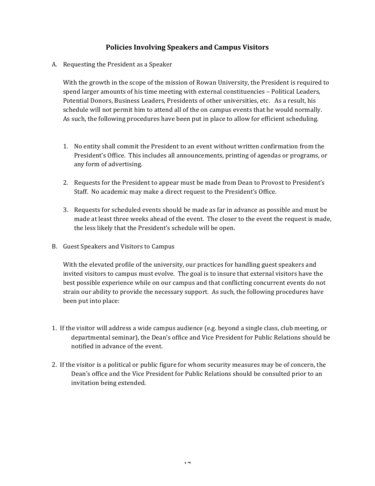# **Policies Involving Speakers and Campus Visitors**

A. Requesting the President as a Speaker

With the growth in the scope of the mission of Rowan University, the President is required to spend larger amounts of his time meeting with external constituencies – Political Leaders, Potential Donors, Business Leaders, Presidents of other universities, etc. As a result, his schedule will not permit him to attend all of the on campus events that he would normally. As such, the following procedures have been put in place to allow for efficient scheduling.

- 1. No entity shall commit the President to an event without written confirmation from the President's Office. This includes all announcements, printing of agendas or programs, or any form of advertising.
- 2. Requests for the President to appear must be made from Dean to Provost to President's Staff. No academic may make a direct request to the President's Office.
- 3. Requests for scheduled events should be made as far in advance as possible and must be made at least three weeks ahead of the event. The closer to the event the request is made, the less likely that the President's schedule will be open.
- B. Guest Speakers and Visitors to Campus

With the elevated profile of the university, our practices for handling guest speakers and invited visitors to campus must evolve. The goal is to insure that external visitors have the best possible experience while on our campus and that conflicting concurrent events do not strain our ability to provide the necessary support. As such, the following procedures have been put into place:

- 1. If the visitor will address a wide campus audience (e.g. beyond a single class, club meeting, or departmental seminar), the Dean's office and Vice President for Public Relations should be notified in advance of the event.
- 2. If the visitor is a political or public figure for whom security measures may be of concern, the Dean's office and the Vice President for Public Relations should be consulted prior to an invitation being extended.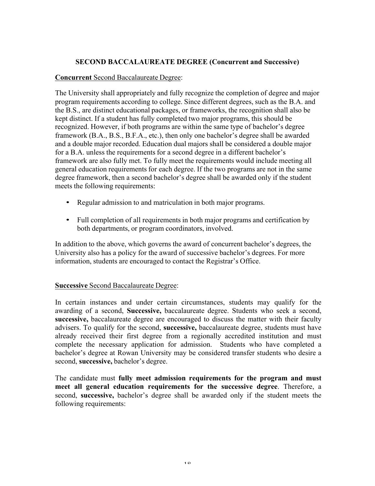# **SECOND BACCALAUREATE DEGREE (Concurrent and Successive)**

## **Concurrent** Second Baccalaureate Degree:

The University shall appropriately and fully recognize the completion of degree and major program requirements according to college. Since different degrees, such as the B.A. and the B.S., are distinct educational packages, or frameworks, the recognition shall also be kept distinct. If a student has fully completed two major programs, this should be recognized. However, if both programs are within the same type of bachelor's degree framework (B.A., B.S., B.F.A., etc.), then only one bachelor's degree shall be awarded and a double major recorded. Education dual majors shall be considered a double major for a B.A. unless the requirements for a second degree in a different bachelor's framework are also fully met. To fully meet the requirements would include meeting all general education requirements for each degree. If the two programs are not in the same degree framework, then a second bachelor's degree shall be awarded only if the student meets the following requirements:

- Regular admission to and matriculation in both major programs.
- Full completion of all requirements in both major programs and certification by both departments, or program coordinators, involved.

In addition to the above, which governs the award of concurrent bachelor's degrees, the University also has a policy for the award of successive bachelor's degrees. For more information, students are encouraged to contact the Registrar's Office.

## **Successive Second Baccalaureate Degree:**

In certain instances and under certain circumstances, students may qualify for the awarding of a second, **Successive,** baccalaureate degree. Students who seek a second, **successive,** baccalaureate degree are encouraged to discuss the matter with their faculty advisers. To qualify for the second, **successive,** baccalaureate degree, students must have already received their first degree from a regionally accredited institution and must complete the necessary application for admission. Students who have completed a bachelor's degree at Rowan University may be considered transfer students who desire a second, **successive,** bachelor's degree.

The candidate must **fully meet admission requirements for the program and must meet all general education requirements for the successive degree**. Therefore, a second, **successive,** bachelor's degree shall be awarded only if the student meets the following requirements: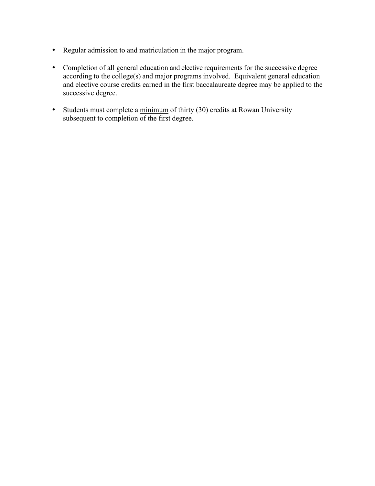- Regular admission to and matriculation in the major program.
- Completion of all general education and elective requirements for the successive degree according to the college(s) and major programs involved. Equivalent general education and elective course credits earned in the first baccalaureate degree may be applied to the successive degree.
- Students must complete a minimum of thirty (30) credits at Rowan University subsequent to completion of the first degree.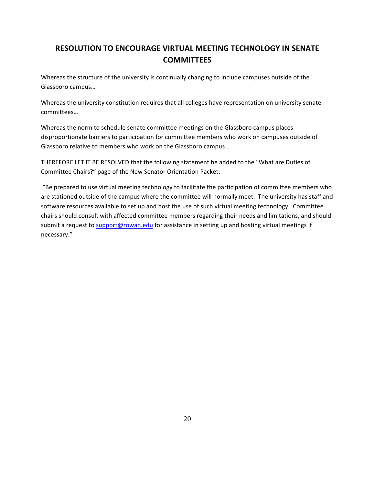# **RESOLUTION TO ENCOURAGE VIRTUAL MEETING TECHNOLOGY IN SENATE COMMITTEES**

Whereas the structure of the university is continually changing to include campuses outside of the Glassboro campus...

Whereas the university constitution requires that all colleges have representation on university senate committees…

Whereas the norm to schedule senate committee meetings on the Glassboro campus places disproportionate barriers to participation for committee members who work on campuses outside of Glassboro relative to members who work on the Glassboro campus...

THEREFORE LET IT BE RESOLVED that the following statement be added to the "What are Duties of Committee Chairs?" page of the New Senator Orientation Packet:

"Be prepared to use virtual meeting technology to facilitate the participation of committee members who are stationed outside of the campus where the committee will normally meet. The university has staff and software resources available to set up and host the use of such virtual meeting technology. Committee chairs should consult with affected committee members regarding their needs and limitations, and should submit a request to support@rowan.edu for assistance in setting up and hosting virtual meetings if necessary."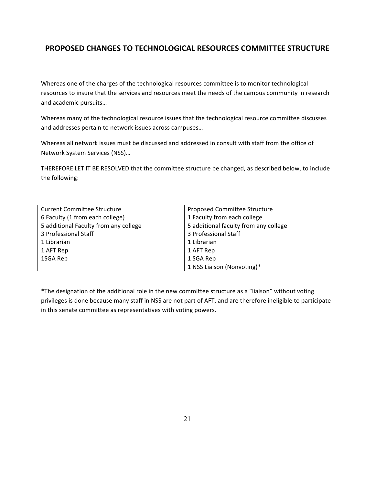# **PROPOSED CHANGES TO TECHNOLOGICAL RESOURCES COMMITTEE STRUCTURE**

Whereas one of the charges of the technological resources committee is to monitor technological resources to insure that the services and resources meet the needs of the campus community in research and academic pursuits...

Whereas many of the technological resource issues that the technological resource committee discusses and addresses pertain to network issues across campuses...

Whereas all network issues must be discussed and addressed in consult with staff from the office of Network System Services (NSS)…

THEREFORE LET IT BE RESOLVED that the committee structure be changed, as described below, to include the following:

| <b>Current Committee Structure</b>    | Proposed Committee Structure          |  |
|---------------------------------------|---------------------------------------|--|
| 6 Faculty (1 from each college)       | 1 Faculty from each college           |  |
| 5 additional Faculty from any college | 5 additional faculty from any college |  |
| 3 Professional Staff                  | 3 Professional Staff                  |  |
| 1 Librarian                           | 1 Librarian                           |  |
| 1 AFT Rep                             | 1 AFT Rep                             |  |
| 1SGA Rep                              | 1 SGA Rep                             |  |
|                                       | 1 NSS Liaison (Nonvoting)*            |  |

\*The designation of the additional role in the new committee structure as a "liaison" without voting privileges is done because many staff in NSS are not part of AFT, and are therefore ineligible to participate in this senate committee as representatives with voting powers.